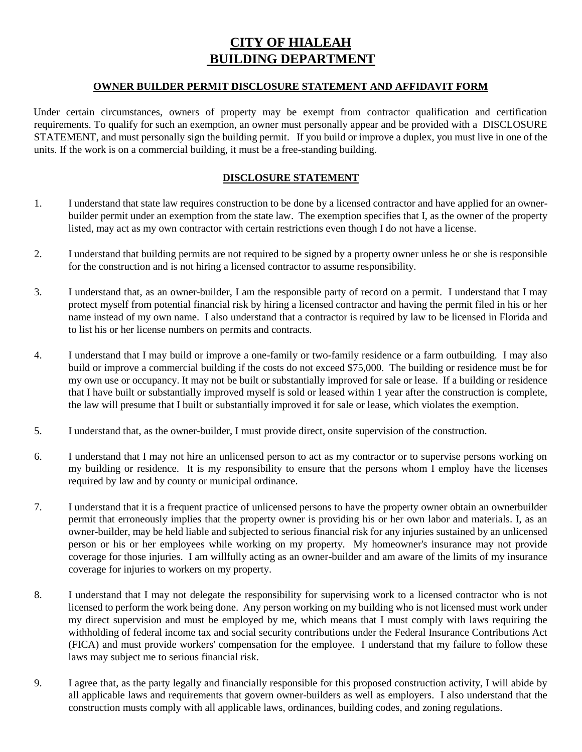## **CITY OF HIALEAH BUILDING DEPARTMENT**

## **OWNER BUILDER PERMIT DISCLOSURE STATEMENT AND AFFIDAVIT FORM**

Under certain circumstances, owners of property may be exempt from contractor qualification and certification requirements. To qualify for such an exemption, an owner must personally appear and be provided with a DISCLOSURE STATEMENT, and must personally sign the building permit. If you build or improve a duplex, you must live in one of the units. If the work is on a commercial building, it must be a free-standing building.

## **DISCLOSURE STATEMENT**

- 1. I understand that state law requires construction to be done by a licensed contractor and have applied for an ownerbuilder permit under an exemption from the state law. The exemption specifies that I, as the owner of the property listed, may act as my own contractor with certain restrictions even though I do not have a license.
- 2. I understand that building permits are not required to be signed by a property owner unless he or she is responsible for the construction and is not hiring a licensed contractor to assume responsibility.
- 3. I understand that, as an owner-builder, I am the responsible party of record on a permit. I understand that I may protect myself from potential financial risk by hiring a licensed contractor and having the permit filed in his or her name instead of my own name. I also understand that a contractor is required by law to be licensed in Florida and to list his or her license numbers on permits and contracts.
- 4. I understand that I may build or improve a one-family or two-family residence or a farm outbuilding. I may also build or improve a commercial building if the costs do not exceed \$75,000. The building or residence must be for my own use or occupancy. It may not be built or substantially improved for sale or lease. If a building or residence that I have built or substantially improved myself is sold or leased within 1 year after the construction is complete, the law will presume that I built or substantially improved it for sale or lease, which violates the exemption.
- 5. I understand that, as the owner-builder, I must provide direct, onsite supervision of the construction.
- 6. I understand that I may not hire an unlicensed person to act as my contractor or to supervise persons working on my building or residence. It is my responsibility to ensure that the persons whom I employ have the licenses required by law and by county or municipal ordinance.
- 7. I understand that it is a frequent practice of unlicensed persons to have the property owner obtain an ownerbuilder permit that erroneously implies that the property owner is providing his or her own labor and materials. I, as an owner-builder, may be held liable and subjected to serious financial risk for any injuries sustained by an unlicensed person or his or her employees while working on my property. My homeowner's insurance may not provide coverage for those injuries. I am willfully acting as an owner-builder and am aware of the limits of my insurance coverage for injuries to workers on my property.
- 8. I understand that I may not delegate the responsibility for supervising work to a licensed contractor who is not licensed to perform the work being done. Any person working on my building who is not licensed must work under my direct supervision and must be employed by me, which means that I must comply with laws requiring the withholding of federal income tax and social security contributions under the Federal Insurance Contributions Act (FICA) and must provide workers' compensation for the employee. I understand that my failure to follow these laws may subject me to serious financial risk.
- 9. I agree that, as the party legally and financially responsible for this proposed construction activity, I will abide by all applicable laws and requirements that govern owner-builders as well as employers. I also understand that the construction musts comply with all applicable laws, ordinances, building codes, and zoning regulations.